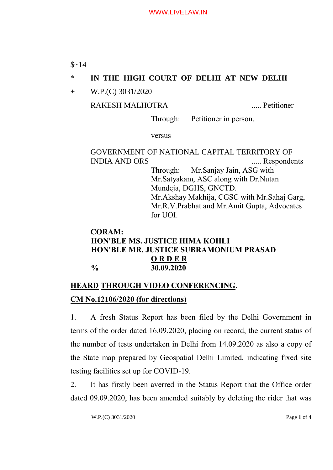$$~14$ 

# \* **IN THE HIGH COURT OF DELHI AT NEW DELHI**

+ W.P.(C) 3031/2020

## RAKESH MALHOTRA ..... Petitioner

Through: Petitioner in person.

versus

# GOVERNMENT OF NATIONAL CAPITAL TERRITORY OF INDIA AND ORS ..... Respondents

Through: Mr.Sanjay Jain, ASG with Mr.Satyakam, ASC along with Dr.Nutan Mundeja, DGHS, GNCTD. Mr.Akshay Makhija, CGSC with Mr.Sahaj Garg, Mr.R.V.Prabhat and Mr.Amit Gupta, Advocates for UOI.

### **CORAM: HON'BLE MS. JUSTICE HIMA KOHLI HON'BLE MR. JUSTICE SUBRAMONIUM PRASAD O R D E R % 30.09.2020**

# **HEARD THROUGH VIDEO CONFERENCING**. **CM No.12106/2020 (for directions)**

1. A fresh Status Report has been filed by the Delhi Government in terms of the order dated 16.09.2020, placing on record, the current status of the number of tests undertaken in Delhi from 14.09.2020 as also a copy of the State map prepared by Geospatial Delhi Limited, indicating fixed site testing facilities set up for COVID-19.

2. It has firstly been averred in the Status Report that the Office order dated 09.09.2020, has been amended suitably by deleting the rider that was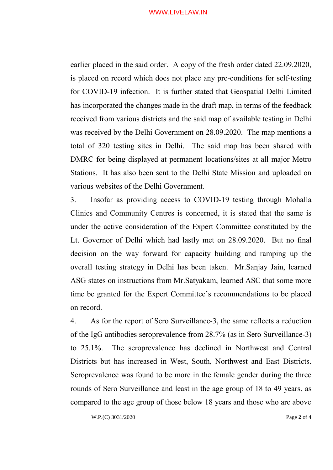#### WWW.LIVELAW.IN

earlier placed in the said order. A copy of the fresh order dated 22.09.2020, is placed on record which does not place any pre-conditions for self-testing for COVID-19 infection. It is further stated that Geospatial Delhi Limited has incorporated the changes made in the draft map, in terms of the feedback received from various districts and the said map of available testing in Delhi was received by the Delhi Government on 28.09.2020. The map mentions a total of 320 testing sites in Delhi. The said map has been shared with DMRC for being displayed at permanent locations/sites at all major Metro Stations. It has also been sent to the Delhi State Mission and uploaded on various websites of the Delhi Government.

3. Insofar as providing access to COVID-19 testing through Mohalla Clinics and Community Centres is concerned, it is stated that the same is under the active consideration of the Expert Committee constituted by the Lt. Governor of Delhi which had lastly met on 28.09.2020. But no final decision on the way forward for capacity building and ramping up the overall testing strategy in Delhi has been taken. Mr.Sanjay Jain, learned ASG states on instructions from Mr.Satyakam, learned ASC that some more time be granted for the Expert Committee's recommendations to be placed on record.

4. As for the report of Sero Surveillance-3, the same reflects a reduction of the IgG antibodies seroprevalence from 28.7% (as in Sero Surveillance-3) to 25.1%. The seroprevalence has declined in Northwest and Central Districts but has increased in West, South, Northwest and East Districts. Seroprevalence was found to be more in the female gender during the three rounds of Sero Surveillance and least in the age group of 18 to 49 years, as compared to the age group of those below 18 years and those who are above

W.P.(C) 3031/2020 Page **2** of **4**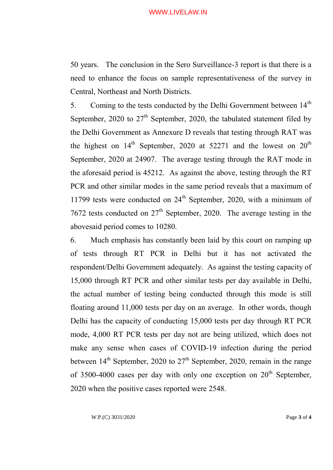#### WWW.LIVELAW.IN

50 years. The conclusion in the Sero Surveillance-3 report is that there is a need to enhance the focus on sample representativeness of the survey in Central, Northeast and North Districts.

5. Coming to the tests conducted by the Delhi Government between 14<sup>th</sup> September, 2020 to  $27<sup>th</sup>$  September, 2020, the tabulated statement filed by the Delhi Government as Annexure D reveals that testing through RAT was the highest on  $14<sup>th</sup>$  September, 2020 at 52271 and the lowest on  $20<sup>th</sup>$ September, 2020 at 24907. The average testing through the RAT mode in the aforesaid period is 45212. As against the above, testing through the RT PCR and other similar modes in the same period reveals that a maximum of 11799 tests were conducted on  $24<sup>th</sup>$  September, 2020, with a minimum of 7672 tests conducted on  $27<sup>th</sup>$  September, 2020. The average testing in the abovesaid period comes to 10280.

6. Much emphasis has constantly been laid by this court on ramping up of tests through RT PCR in Delhi but it has not activated the respondent/Delhi Government adequately. As against the testing capacity of 15,000 through RT PCR and other similar tests per day available in Delhi, the actual number of testing being conducted through this mode is still floating around 11,000 tests per day on an average. In other words, though Delhi has the capacity of conducting 15,000 tests per day through RT PCR mode, 4,000 RT PCR tests per day not are being utilized, which does not make any sense when cases of COVID-19 infection during the period between  $14<sup>th</sup>$  September, 2020 to  $27<sup>th</sup>$  September, 2020, remain in the range of 3500-4000 cases per day with only one exception on  $20<sup>th</sup>$  September, 2020 when the positive cases reported were 2548.

W.P.(C) 3031/2020 Page **3** of **4**